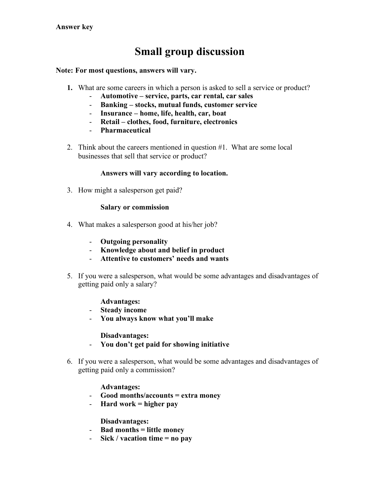# **Small group discussion**

**Note: For most questions, answers will vary.**

- **1.** What are some careers in which a person is asked to sell a service or product?
	- **Automotive – service, parts, car rental, car sales**
	- **Banking – stocks, mutual funds, customer service**
	- **Insurance – home, life, health, car, boat**
	- **Retail – clothes, food, furniture, electronics**
	- **Pharmaceutical**
- 2. Think about the careers mentioned in question #1. What are some local businesses that sell that service or product?

### **Answers will vary according to location.**

3. How might a salesperson get paid?

#### **Salary or commission**

- 4. What makes a salesperson good at his/her job?
	- **Outgoing personality**
	- **Knowledge about and belief in product**
	- **Attentive to customers' needs and wants**
- 5. If you were a salesperson, what would be some advantages and disadvantages of getting paid only a salary?

**Advantages:**

- **Steady income**
- **You always know what you'll make**

**Disadvantages:**

- **You don't get paid for showing initiative**
- 6. If you were a salesperson, what would be some advantages and disadvantages of getting paid only a commission?

### **Advantages:**

- **Good months/accounts = extra money**
- **Hard work = higher pay**

**Disadvantages:**

- **Bad months = little money**
- **Sick / vacation time = no pay**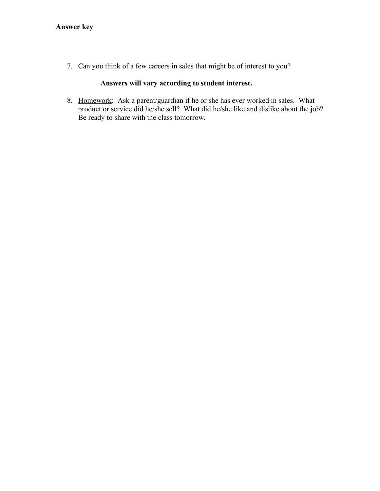7. Can you think of a few careers in sales that might be of interest to you?

## **Answers will vary according to student interest.**

8. Homework: Ask a parent/guardian if he or she has ever worked in sales. What product or service did he/she sell? What did he/she like and dislike about the job? Be ready to share with the class tomorrow.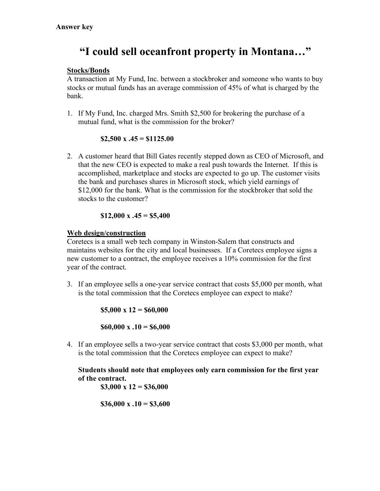# **"I could sell oceanfront property in Montana…"**

## **Stocks/Bonds**

A transaction at My Fund, Inc. between a stockbroker and someone who wants to buy stocks or mutual funds has an average commission of 45% of what is charged by the bank.

1. If My Fund, Inc. charged Mrs. Smith \$2,500 for brokering the purchase of a mutual fund, what is the commission for the broker?

## **\$2,500 x .45 = \$1125.00**

2. A customer heard that Bill Gates recently stepped down as CEO of Microsoft, and that the new CEO is expected to make a real push towards the Internet. If this is accomplished, marketplace and stocks are expected to go up. The customer visits the bank and purchases shares in Microsoft stock, which yield earnings of \$12,000 for the bank. What is the commission for the stockbroker that sold the stocks to the customer?

## **\$12,000 x .45 = \$5,400**

## **Web design/construction**

Coretecs is a small web tech company in Winston-Salem that constructs and maintains websites for the city and local businesses. If a Coretecs employee signs a new customer to a contract, the employee receives a 10% commission for the first year of the contract.

3. If an employee sells a one-year service contract that costs \$5,000 per month, what is the total commission that the Coretecs employee can expect to make?

**\$5,000 x 12 = \$60,000**

**\$60,000 x .10 = \$6,000**

4. If an employee sells a two-year service contract that costs \$3,000 per month, what is the total commission that the Coretecs employee can expect to make?

**Students should note that employees only earn commission for the first year of the contract. \$3,000 x 12 = \$36,000**

**\$36,000 x .10 = \$3,600**